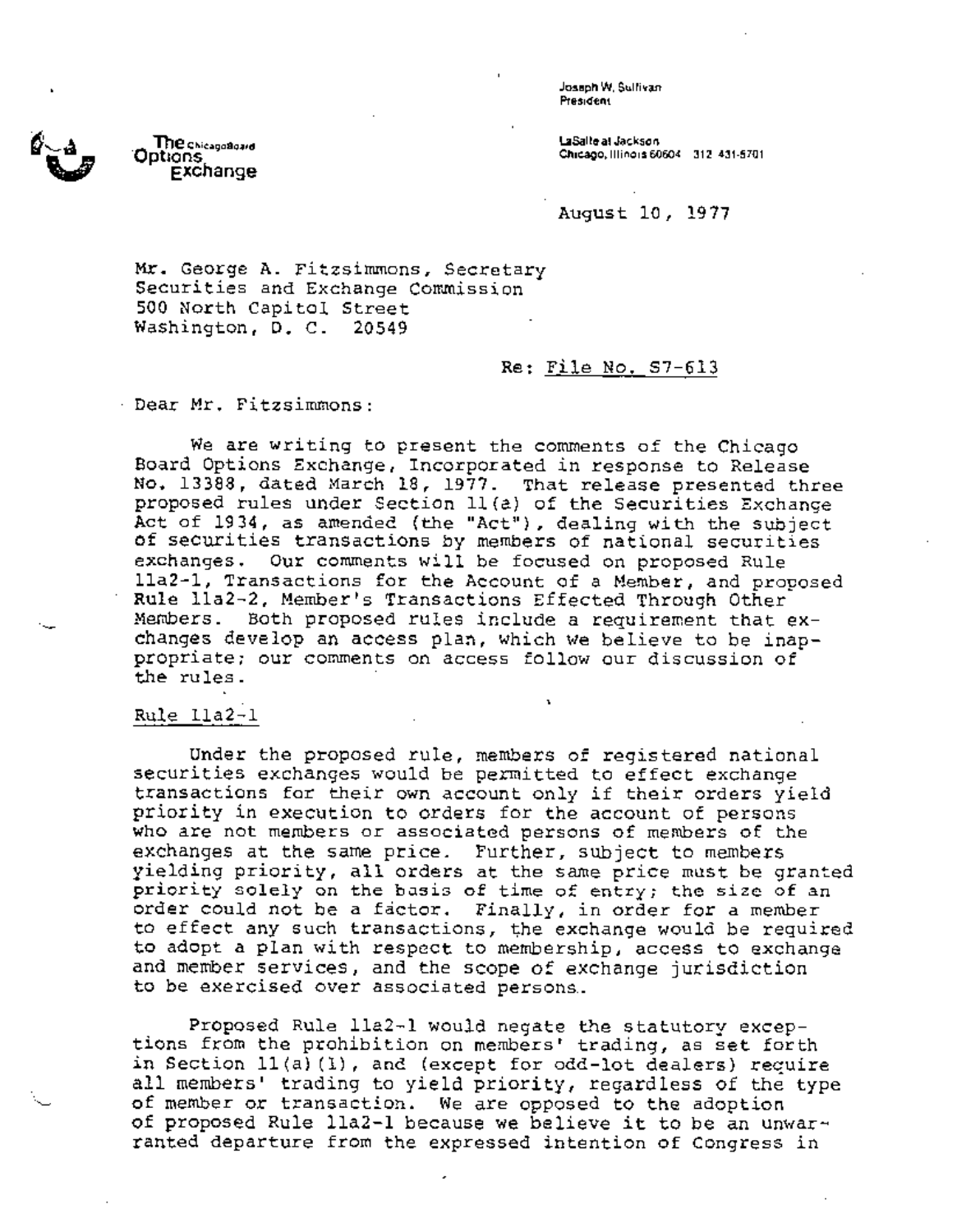. Joseph W. **Sullivan President** 

Labile **at Jackson Chicago, Illinois** 60604 312 431-5701

August 10, 1977

Mr. George A. Fitzsimmons, Secretary Securities and Exchange Commission 500 North Capitol Street Washington, D. C. 20549

## Re: File No. \$7-613

Dear Mr. Fitzsimmons:

We are writing to present the comments of the Chicago Board Options Exchange, Incorporated in response to Release No. 13388, dated March 18, 1977. That release presented three proposed rules under Section ll(a) of the Securities Exchange Act of 1934, as amended (the "Act"), dealing with the subject of securities transactions by members of national securities exchanges. Our comments will be focused on proposed Rule lla2-1, Transactions for the Account of a Member, and proposed Rule iia2-2, Member's Transactions Effected Through Other Members. Both proposed rules include a requirement that exchanges develop an access plan, which we believe to be inappropriate; our comments on access follow our discussion of the rules.

ı.

## Rule Ila2-1

Under the proposed rule, members of registered national securities exchanges would be permitted to effect exchange transactions for their own account only if their orders yield priority in execution to orders for the account of persons who are not members or associated persons of members of the exchanges at the same price. Further, subject to members yielding priority, all orders at the same price must be granted priority solely on the basis of time of entry; the size of an order could not be a fictor. Finally, in order for a member to effect any such transactions, the exchange would be required to adopt a plan with respect to membership, access to exchange and member services, and the scope of exchange jurisdiction to be exercised over associated persons.

Proposed Rule lla2-1 would negate the statutory exceptions from the prohibition on members' trading, as set forth in Section ll(a) (i), and (except for odd'lot dealers) require all members' trading to yield priority, regardless of the type of member or transaction. We are opposed to the adoption of proposed Rule lla2-1 because we believe it to be an unwarranted departure from the expressed intention of Congress in



**\_ The ChlcagoSoa, d \*Options Exchange**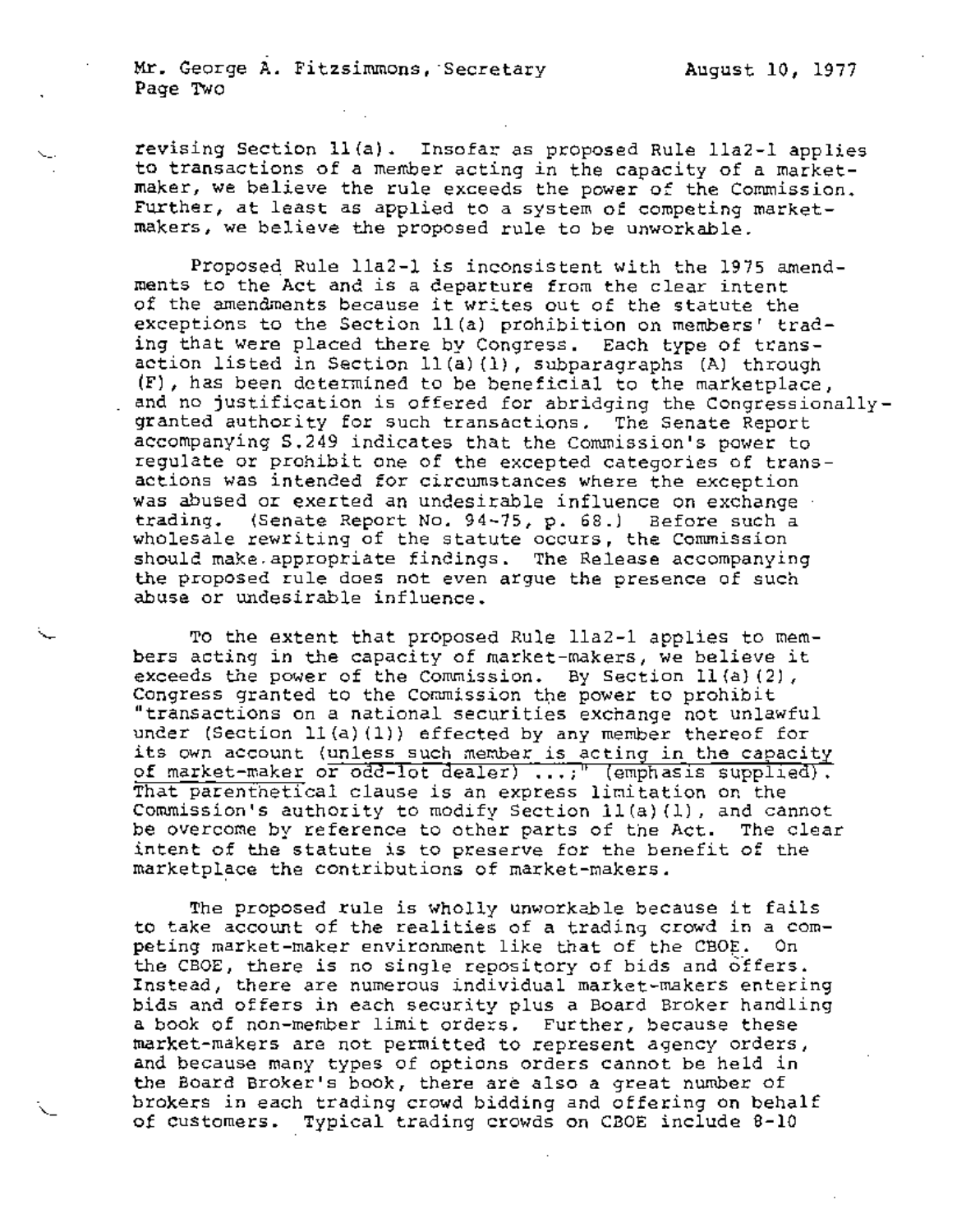Mr. George A. Fitzsimmons, Secretary Page Two

revising Section ll(a). Insofar as proposed Rule lla2-1 applies to transactions of a member acting in the capacity of a marketmaker, we believe the rule exceeds the power of the Commission. Further, at least as applied to a system of competing marketmakers, we believe the proposed rule to be unworkable.

Proposed Rule lla2-1 is inconsistent with the 1975 amendments to the Act and is a departure from the clear intent of the amendments because it writes out of the statute the exceptions to the Section ll(a) prohibition on members' trading that Were placed there by Congress. Each type of transaction listed in Section ll(a) (i), subparagraphs (A) through (F), has been determined to be beneficial to the marketplace, and no justification is offered for abridging the Congressionallygranted authority for such transactions. The Senate Report accompanying S.249 indicates that the Commission's power to regulate or prohibit one of the excepted categories of transactions was intended for circumstances where the exception was abused or exerted an undesirable influence on exchange trading. (Senate Report No. 94-75, p. 68.) Before such a wholesale rewriting of the statute occurs, the Commission should make.appropriate findings. The Release accompanying the proposed rule does not even argue the presence of such abuse or undesirable influence.

To the extent that proposed Rule lla2-1 applies to members acting in the capacity of market-makers, we believe it exceeds the power of the Commission. By Section ll(a) (2), Congress granted to the Commission the power to prohibit "transactions on a national securities exchange not unlawful under (Section 11(a)(1)) effected by any member thereof for its own account (unless such member is acting in the capacity of market-maker or odd-lot dealer) ...;" (emphasis supplied). That parenthetical clause is an express limitation on the Commission's authority to modify Section ll(a) (i), and cannot be overcome by reference to other parts of the Act. The clear intent of the statute is to preserve for the benefit of the marketplace the contributions of market-makers.

The proposed rule is wholly unworkable because it fails to take account of the realities of a trading crowd in a competing market-maker environment like that of the CBOE. On the CBOE, there is no single repository of bids and offers. Instead, there are numerous individual market-makers entering bids and offers in each security plus a Board Broker handling a book of non-member limit orders. Further, because these market-makers are not permitted to represent agency orders, and because many types of options orders cannot be held in the Board Broker's book, there are also a great number of brokers in each trading crowd bidding and offering on behalf of customers. Typical trading crowds on CBOE include 8-10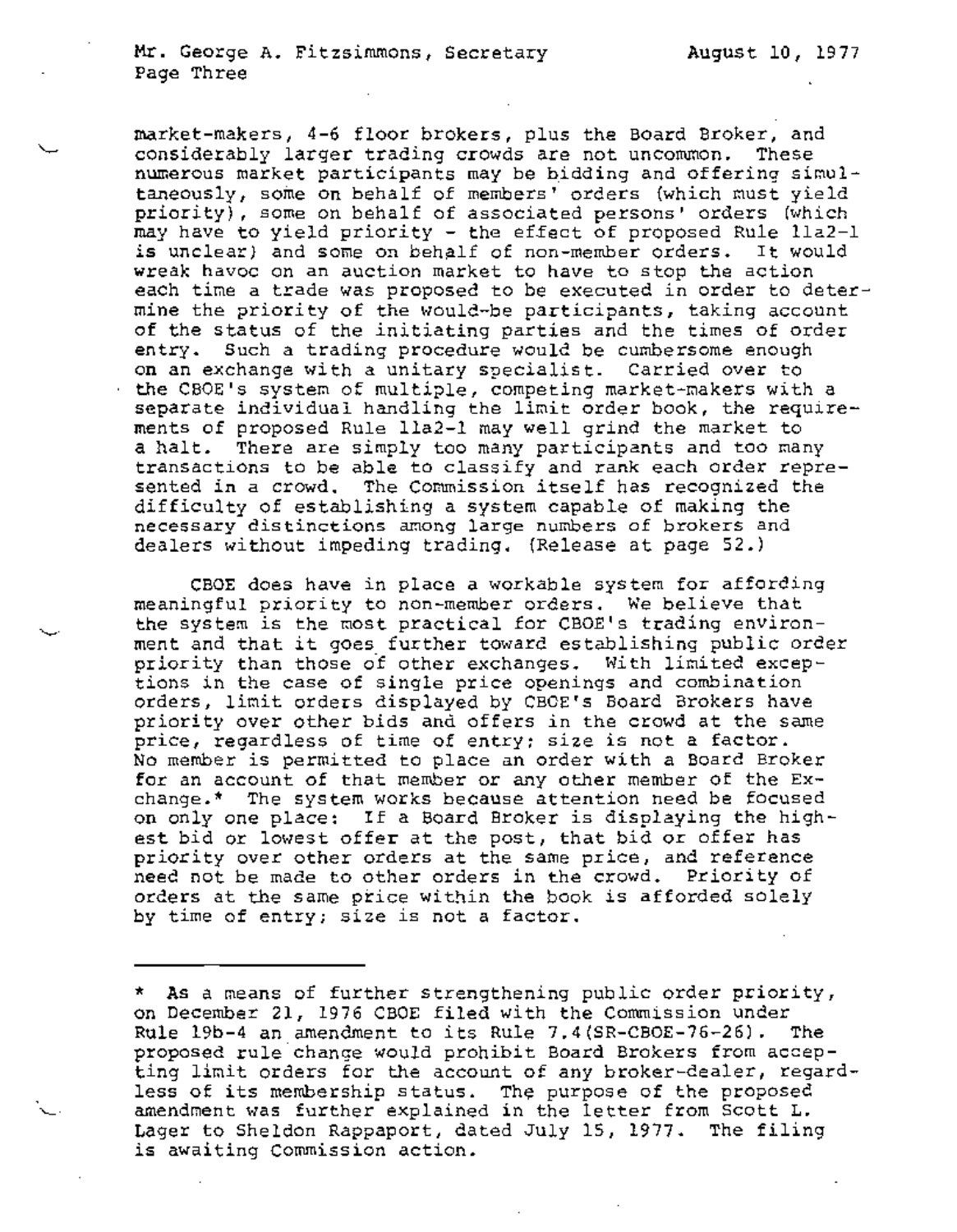$\ddot{\phantom{1}}$ 

market-makers, 4-6 floor brokers, plus the Board Broker, and considerably larger trading crowds are not uncommon. These numerous market participants may be bidding and offering simultaneously, some on behalf of members' orders (which must yield priority), some on behalf of associated persons' orders (which may have to yield priority - the eflect of proposed Rule lla2-1 is unclear) and some on behalf of non-member orders. It would wreak havoc on an auction market to have to stop the action each time a trade was proposed to be executed in order to determine the priority of the would-be participants, taking account of the status of the initiating parties and the times of order entry. Such a trading procedure would be cumbersome enough on an exchange with a unitary specialist. Carried over to the CBOE's system of multiple, competing market-makers with a separate individual handling the limit order book, the requirements of proposed Rule lla2-1 may well grind the market to a halt. There are simply too many participants and too many transactions to be able to classify and rank each order represented in a crowd. The Commission itself has recognized the difficulty of establishing a system capable of making the necessary distinctions among large numbers of brokers and dealers without impeding trading. (Release at page 52.)

CBOE does have in place a workable system for affording meaningful priority to non-member orders. We believe that the system is the most practical for CBOE's trading environment and that it goes further toward establishing public order priority than those of other exchanges. With limited exceptions in the case of single price openings and combination orders, limit orders displayed by CBOE's Board Brokers have priority over other bids and offers in the crowd at the same price, regardless of time of entry; size is not a factor. No member is permitted to place an order with a Board Broker for an account of that member or any other member of the Exchange.\* The system works because attention need be focused on only one place: If a Board Broker is displaying the highest bid or lowest offer at the post, that bid or offer has priority over other orders at the same price, and reference need not be made to other orders in the crowd. Priority of orders at the same price within the book is afforded solely by time of entry; size is not a factor.

<sup>\*</sup> As a means of further strengthening public order priority, on December 21, 1976 CBOE filed with the Commission under Rule 19b-4 an amendment to its Rule 7.4(SR-CBOE-76-26). The proposed rule change would prohibit Board Brokers from accepting limit orders for the account of any broker-dealer, regardless of its membership status. The purpose of the proposed amendment was further explained in the letter from Scott L. Lager to Sheldon Rappaport, dated July 15, 1977. The filing is awaiting Commission action.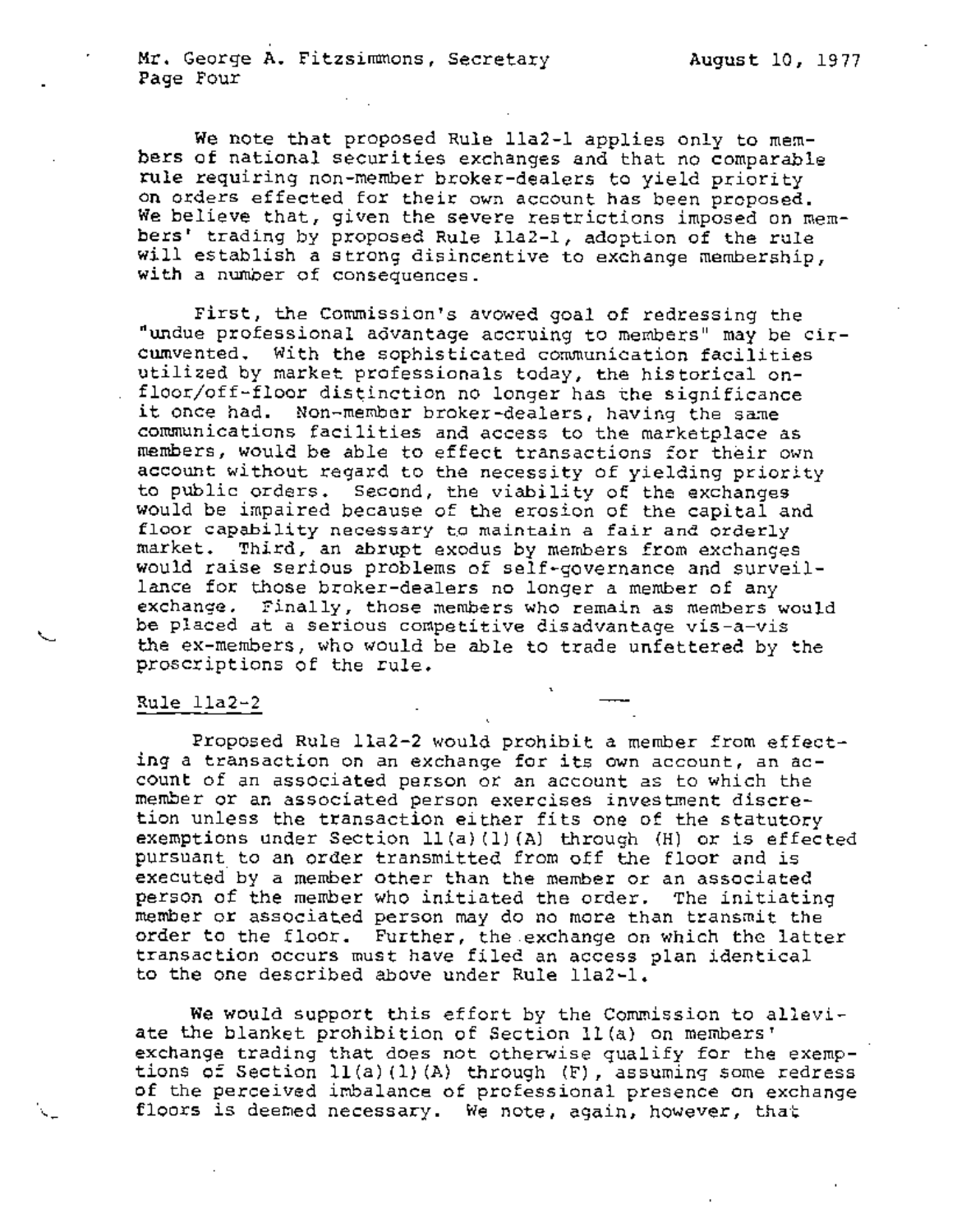August i0, 19 77

We note that proposed Rule lla2-1 applies only to members of national securities exchanges and that no comparable rule requiring non-member broker-dealers to yield priority on orders effected for their own account has been proposed. We believe that, given the severe restrictions imposed on members' trading by proposed Rule lla2-1, adoption of the rule will establish a strong disincentive to exchange membership, with a number of consequences.

First, the Commission's avowed goal of redressing the "undue professional advantage accruing to members" may be circumvented. With the sophisticated communication facilities utilized by market professionals today, the historical onfloor/off-floor distinction no longer has the significance it once had. Non-member broker-dealers, having the same communications facilities and access to the marketplace as members, would be able to effect transactions for their own account without regard to the necessity of yielding priority to public orders. Second, the viability of the exchanges would be impaired because of the erosion of the capital and floor capability necessary to maintain a fair and orderly market. Third, an abrupt exodus by members from exchanges would raise serious problems of self-governance and surveillance for those broker-dealers no longer a member of any exchange. Finally, those members who remain as members would be placed at a serious competitive disadvantage vis-a-vis the ex-members, who would be able to trade unfettered by the proscriptions of the rule.

## Rule iia2-2

Proposed Rule iia2-2 would prohibit a member from effecting a transaction on an exchange for its own account, an account of an associated person or an account as to which the member or an associated person exercises investment discretion unless the transaction either fits one of the statutory exemptions under Section 11(a)(1)(A) through (H) or is effected pursuant to an order transmitted from off the floor and is executed by a member other than the member or an associated person of the member who initiated the order. The initiating member or associated person may do no more than transmit the order to the floor. Further, the exchange on which the latter transaction occurs must have filed an access plan identical to the one described above under Rule lla2-1.

%

We would support this effort by the Commission to alleviate the blanket prohibition of Section ll(a) on members' exchange trading that does not otherwise qualify for the exemptions of Section ll(a)(1) (A) through (F), assuming some redress of the perceived imbalance of professional presence on exchange floors is deemed necessary. We note, again, however, that